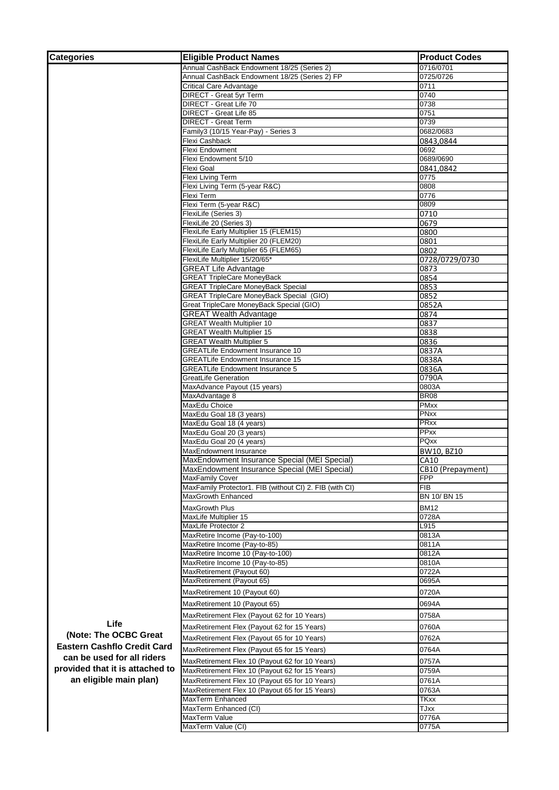| <b>Categories</b>                  | <b>Eligible Product Names</b>                                                                | <b>Product Codes</b> |
|------------------------------------|----------------------------------------------------------------------------------------------|----------------------|
|                                    | Annual CashBack Endowment 18/25 (Series 2)                                                   | 0716/0701            |
|                                    | Annual CashBack Endowment 18/25 (Series 2) FP                                                | 0725/0726            |
|                                    | <b>Critical Care Advantage</b>                                                               | 0711                 |
|                                    | DIRECT - Great 5yr Term                                                                      | 0740                 |
|                                    | DIRECT - Great Life 70                                                                       | 0738                 |
|                                    | DIRECT - Great Life 85                                                                       | 0751                 |
|                                    | DIRECT - Great Term                                                                          | 0739                 |
|                                    | Family3 (10/15 Year-Pay) - Series 3                                                          | 0682/0683            |
|                                    | Flexi Cashback                                                                               | 0843,0844            |
|                                    | Flexi Endowment                                                                              | 0692                 |
|                                    | Flexi Endowment 5/10                                                                         | 0689/0690            |
|                                    | Flexi Goal                                                                                   | 0841,0842            |
|                                    | Flexi Living Term                                                                            | 0775                 |
|                                    | Flexi Living Term (5-year R&C)                                                               | 0808                 |
|                                    | Flexi Term                                                                                   | 0776                 |
|                                    | Flexi Term (5-year R&C)                                                                      | 0809                 |
|                                    | FlexiLife (Series 3)                                                                         | 0710                 |
|                                    | FlexiLife 20 (Series 3)                                                                      | 0679                 |
|                                    | FlexiLife Early Multiplier 15 (FLEM15)                                                       | 0800                 |
|                                    | FlexiLife Early Multiplier 20 (FLEM20)                                                       | 0801                 |
|                                    | FlexiLife Early Multiplier 65 (FLEM65)                                                       | 0802                 |
|                                    | FlexiLife Multiplier 15/20/65*                                                               | 0728/0729/0730       |
|                                    | <b>GREAT Life Advantage</b><br><b>GREAT TripleCare MoneyBack</b>                             | 0873                 |
|                                    |                                                                                              | 0854                 |
|                                    | <b>GREAT TripleCare MoneyBack Special</b><br><b>GREAT TripleCare MoneyBack Special (GIO)</b> | 0853                 |
|                                    | Great TripleCare MoneyBack Special (GIO)                                                     | 0852                 |
|                                    | <b>GREAT Wealth Advantage</b>                                                                | 0852A<br>0874        |
|                                    | <b>GREAT Wealth Multiplier 10</b>                                                            | 0837                 |
|                                    | <b>GREAT Wealth Multiplier 15</b>                                                            | 0838                 |
|                                    | <b>GREAT Wealth Multiplier 5</b>                                                             | 0836                 |
|                                    | <b>GREATLife Endowment Insurance 10</b>                                                      | 0837A                |
|                                    | <b>GREATLife Endowment Insurance 15</b>                                                      | 0838A                |
|                                    | <b>GREATLife Endowment Insurance 5</b>                                                       | 0836A                |
|                                    | GreatLife Generation                                                                         | 0790A                |
|                                    | MaxAdvance Payout (15 years)                                                                 | 0803A                |
|                                    | MaxAdvantage 8                                                                               | <b>BR08</b>          |
|                                    | MaxEdu Choice                                                                                | <b>PMxx</b>          |
|                                    | MaxEdu Goal 18 (3 years)                                                                     | <b>PNxx</b>          |
|                                    | MaxEdu Goal 18 (4 years)                                                                     | <b>PRxx</b>          |
|                                    | MaxEdu Goal 20 (3 years)                                                                     | PPxx                 |
|                                    | MaxEdu Goal 20 (4 years)                                                                     | PQxx                 |
|                                    | MaxEndowment Insurance                                                                       | BW10, BZ10           |
|                                    | MaxEndowment Insurance Special (MEI Special)                                                 | CA10                 |
|                                    | MaxEndowment Insurance Special (MEI Special)                                                 | CB10 (Prepayment)    |
|                                    | <b>MaxFamily Cover</b>                                                                       | <b>FPP</b>           |
|                                    | MaxFamily Protector1. FIB (without CI) 2. FIB (with CI)                                      | <b>FIB</b>           |
|                                    | <b>MaxGrowth Enhanced</b>                                                                    | BN 10/BN 15          |
|                                    | MaxGrowth Plus                                                                               | <b>BM12</b>          |
|                                    | MaxLife Multiplier 15                                                                        | 0728A                |
|                                    | MaxLife Protector 2                                                                          | L915                 |
|                                    | MaxRetire Income (Pay-to-100)                                                                | 0813A                |
|                                    | MaxRetire Income (Pay-to-85)                                                                 | 0811A                |
|                                    | MaxRetire Income 10 (Pay-to-100)                                                             | 0812A                |
|                                    | MaxRetire Income 10 (Pay-to-85)                                                              | 0810A                |
|                                    | MaxRetirement (Payout 60)                                                                    | 0722A                |
|                                    | MaxRetirement (Payout 65)                                                                    | 0695A                |
|                                    | MaxRetirement 10 (Payout 60)                                                                 | 0720A                |
|                                    |                                                                                              |                      |
|                                    | MaxRetirement 10 (Payout 65)                                                                 | 0694A                |
|                                    | MaxRetirement Flex (Payout 62 for 10 Years)                                                  | 0758A                |
| Life                               | MaxRetirement Flex (Payout 62 for 15 Years)                                                  | 0760A                |
| (Note: The OCBC Great              | MaxRetirement Flex (Payout 65 for 10 Years)                                                  | 0762A                |
| <b>Eastern Cashflo Credit Card</b> |                                                                                              |                      |
| can be used for all riders         | MaxRetirement Flex (Payout 65 for 15 Years)                                                  | 0764A                |
|                                    | MaxRetirement Flex 10 (Payout 62 for 10 Years)                                               | 0757A                |
| provided that it is attached to    | MaxRetirement Flex 10 (Payout 62 for 15 Years)                                               | 0759A                |
| an eligible main plan)             | MaxRetirement Flex 10 (Payout 65 for 10 Years)                                               | 0761A                |
|                                    | MaxRetirement Flex 10 (Payout 65 for 15 Years)                                               | 0763A                |
|                                    | MaxTerm Enhanced                                                                             | <b>TKxx</b>          |
|                                    | MaxTerm Enhanced (CI)                                                                        | TJxx                 |
|                                    | MaxTerm Value                                                                                | 0776A                |
|                                    | MaxTerm Value (CI)                                                                           | 0775A                |